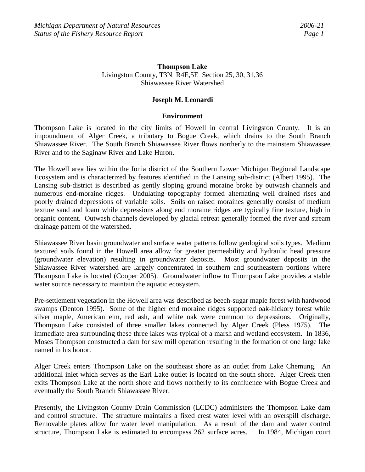## **Thompson Lake**  Livingston County, T3N R4E,5E Section 25, 30, 31,36 Shiawassee River Watershed

## **Joseph M. Leonardi**

### **Environment**

Thompson Lake is located in the city limits of Howell in central Livingston County. It is an impoundment of Alger Creek, a tributary to Bogue Creek, which drains to the South Branch Shiawassee River. The South Branch Shiawassee River flows northerly to the mainstem Shiawassee River and to the Saginaw River and Lake Huron.

The Howell area lies within the Ionia district of the Southern Lower Michigan Regional Landscape Ecosystem and is characterized by features identified in the Lansing sub-district (Albert 1995). The Lansing sub-district is described as gently sloping ground moraine broke by outwash channels and numerous end-moraine ridges. Undulating topography formed alternating well drained rises and poorly drained depressions of variable soils. Soils on raised moraines generally consist of medium texture sand and loam while depressions along end moraine ridges are typically fine texture, high in organic content. Outwash channels developed by glacial retreat generally formed the river and stream drainage pattern of the watershed.

Shiawassee River basin groundwater and surface water patterns follow geological soils types. Medium textured soils found in the Howell area allow for greater permeability and hydraulic head pressure (groundwater elevation) resulting in groundwater deposits. Most groundwater deposits in the Shiawassee River watershed are largely concentrated in southern and southeastern portions where Thompson Lake is located (Cooper 2005). Groundwater inflow to Thompson Lake provides a stable water source necessary to maintain the aquatic ecosystem.

Pre-settlement vegetation in the Howell area was described as beech-sugar maple forest with hardwood swamps (Denton 1995). Some of the higher end moraine ridges supported oak-hickory forest while silver maple, American elm, red ash, and white oak were common to depressions. Originally, Thompson Lake consisted of three smaller lakes connected by Alger Creek (Pless 1975). The immediate area surrounding these three lakes was typical of a marsh and wetland ecosystem. In 1836, Moses Thompson constructed a dam for saw mill operation resulting in the formation of one large lake named in his honor.

Alger Creek enters Thompson Lake on the southeast shore as an outlet from Lake Chemung. An additional inlet which serves as the Earl Lake outlet is located on the south shore. Alger Creek then exits Thompson Lake at the north shore and flows northerly to its confluence with Bogue Creek and eventually the South Branch Shiawassee River.

Presently, the Livingston County Drain Commission (LCDC) administers the Thompson Lake dam and control structure. The structure maintains a fixed crest water level with an overspill discharge. Removable plates allow for water level manipulation. As a result of the dam and water control structure, Thompson Lake is estimated to encompass 262 surface acres. In 1984, Michigan court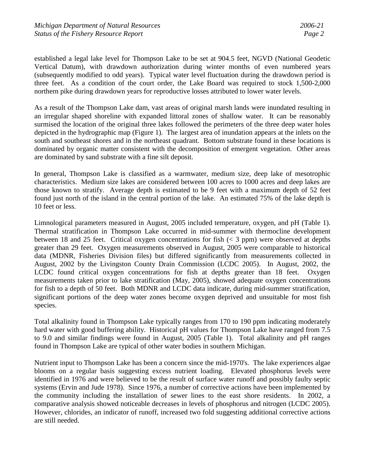established a legal lake level for Thompson Lake to be set at 904.5 feet, NGVD (National Geodetic Vertical Datum), with drawdown authorization during winter months of even numbered years (subsequently modified to odd years). Typical water level fluctuation during the drawdown period is three feet. As a condition of the court order, the Lake Board was required to stock 1,500-2,000 northern pike during drawdown years for reproductive losses attributed to lower water levels.

As a result of the Thompson Lake dam, vast areas of original marsh lands were inundated resulting in an irregular shaped shoreline with expanded littoral zones of shallow water. It can be reasonably surmised the location of the original three lakes followed the perimeters of the three deep water holes depicted in the hydrographic map (Figure 1). The largest area of inundation appears at the inlets on the south and southeast shores and in the northeast quadrant. Bottom substrate found in these locations is dominated by organic matter consistent with the decomposition of emergent vegetation. Other areas are dominated by sand substrate with a fine silt deposit.

In general, Thompson Lake is classified as a warmwater, medium size, deep lake of mesotrophic characteristics. Medium size lakes are considered between 100 acres to 1000 acres and deep lakes are those known to stratify. Average depth is estimated to be 9 feet with a maximum depth of 52 feet found just north of the island in the central portion of the lake. An estimated 75% of the lake depth is 10 feet or less.

Limnological parameters measured in August, 2005 included temperature, oxygen, and pH (Table 1). Thermal stratification in Thompson Lake occurred in mid-summer with thermocline development between 18 and 25 feet. Critical oxygen concentrations for fish  $(< 3$  ppm) were observed at depths greater than 29 feet. Oxygen measurements observed in August, 2005 were comparable to historical data (MDNR, Fisheries Division files) but differed significantly from measurements collected in August, 2002 by the Livingston County Drain Commission (LCDC 2005). In August, 2002, the LCDC found critical oxygen concentrations for fish at depths greater than 18 feet. Oxygen measurements taken prior to lake stratification (May, 2005), showed adequate oxygen concentrations for fish to a depth of 50 feet. Both MDNR and LCDC data indicate, during mid-summer stratification, significant portions of the deep water zones become oxygen deprived and unsuitable for most fish species.

Total alkalinity found in Thompson Lake typically ranges from 170 to 190 ppm indicating moderately hard water with good buffering ability. Historical pH values for Thompson Lake have ranged from 7.5 to 9.0 and similar findings were found in August, 2005 (Table 1). Total alkalinity and pH ranges found in Thompson Lake are typical of other water bodies in southern Michigan.

Nutrient input to Thompson Lake has been a concern since the mid-1970's. The lake experiences algae blooms on a regular basis suggesting excess nutrient loading. Elevated phosphorus levels were identified in 1976 and were believed to be the result of surface water runoff and possibly faulty septic systems (Ervin and Jude 1978). Since 1976, a number of corrective actions have been implemented by the community including the installation of sewer lines to the east shore residents. In 2002, a comparative analysis showed noticeable decreases in levels of phosphorus and nitrogen (LCDC 2005). However, chlorides, an indicator of runoff, increased two fold suggesting additional corrective actions are still needed.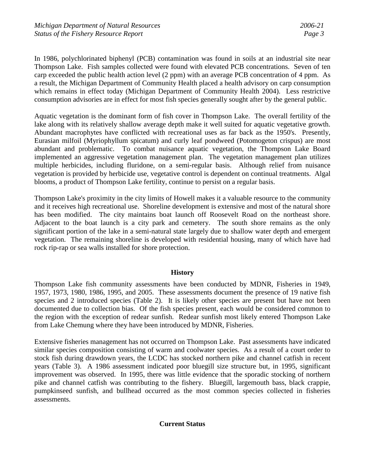In 1986, polychlorinated biphenyl (PCB) contamination was found in soils at an industrial site near Thompson Lake. Fish samples collected were found with elevated PCB concentrations. Seven of ten carp exceeded the public health action level (2 ppm) with an average PCB concentration of 4 ppm. As a result, the Michigan Department of Community Health placed a health advisory on carp consumption which remains in effect today (Michigan Department of Community Health 2004). Less restrictive consumption advisories are in effect for most fish species generally sought after by the general public.

Aquatic vegetation is the dominant form of fish cover in Thompson Lake. The overall fertility of the lake along with its relatively shallow average depth make it well suited for aquatic vegetative growth. Abundant macrophytes have conflicted with recreational uses as far back as the 1950's. Presently, Eurasian milfoil (Myriophyllum spicatum) and curly leaf pondweed (Potomogeton crispus) are most abundant and problematic. To combat nuisance aquatic vegetation, the Thompson Lake Board implemented an aggressive vegetation management plan. The vegetation management plan utilizes multiple herbicides, including fluridone, on a semi-regular basis. Although relief from nuisance vegetation is provided by herbicide use, vegetative control is dependent on continual treatments. Algal blooms, a product of Thompson Lake fertility, continue to persist on a regular basis.

Thompson Lake's proximity in the city limits of Howell makes it a valuable resource to the community and it receives high recreational use. Shoreline development is extensive and most of the natural shore has been modified. The city maintains boat launch off Roosevelt Road on the northeast shore. Adjacent to the boat launch is a city park and cemetery. The south shore remains as the only significant portion of the lake in a semi-natural state largely due to shallow water depth and emergent vegetation. The remaining shoreline is developed with residential housing, many of which have had rock rip-rap or sea walls installed for shore protection.

### **History**

Thompson Lake fish community assessments have been conducted by MDNR, Fisheries in 1949, 1957, 1973, 1980, 1986, 1995, and 2005. These assessments document the presence of 19 native fish species and 2 introduced species (Table 2). It is likely other species are present but have not been documented due to collection bias. Of the fish species present, each would be considered common to the region with the exception of redear sunfish. Redear sunfish most likely entered Thompson Lake from Lake Chemung where they have been introduced by MDNR, Fisheries.

Extensive fisheries management has not occurred on Thompson Lake. Past assessments have indicated similar species composition consisting of warm and coolwater species. As a result of a court order to stock fish during drawdown years, the LCDC has stocked northern pike and channel catfish in recent years (Table 3). A 1986 assessment indicated poor bluegill size structure but, in 1995, significant improvement was observed. In 1995, there was little evidence that the sporadic stocking of northern pike and channel catfish was contributing to the fishery. Bluegill, largemouth bass, black crappie, pumpkinseed sunfish, and bullhead occurred as the most common species collected in fisheries assessments.

# **Current Status**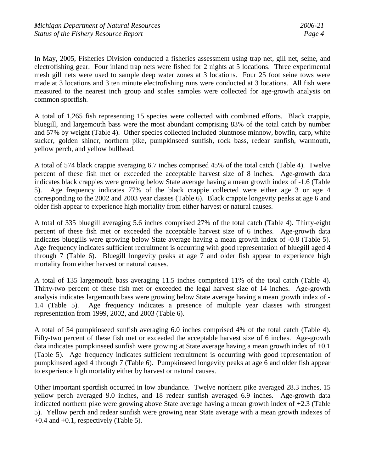In May, 2005, Fisheries Division conducted a fisheries assessment using trap net, gill net, seine, and electrofishing gear. Four inland trap nets were fished for 2 nights at 5 locations. Three experimental mesh gill nets were used to sample deep water zones at 3 locations. Four 25 foot seine tows were made at 3 locations and 3 ten minute electrofishing runs were conducted at 3 locations. All fish were measured to the nearest inch group and scales samples were collected for age-growth analysis on common sportfish.

A total of 1,265 fish representing 15 species were collected with combined efforts. Black crappie, bluegill, and largemouth bass were the most abundant comprising 83% of the total catch by number and 57% by weight (Table 4). Other species collected included bluntnose minnow, bowfin, carp, white sucker, golden shiner, northern pike, pumpkinseed sunfish, rock bass, redear sunfish, warmouth, yellow perch, and yellow bullhead.

A total of 574 black crappie averaging 6.7 inches comprised 45% of the total catch (Table 4). Twelve percent of these fish met or exceeded the acceptable harvest size of 8 inches. Age-growth data indicates black crappies were growing below State average having a mean growth index of -1.6 (Table 5). Age frequency indicates 77% of the black crappie collected were either age 3 or age 4 corresponding to the 2002 and 2003 year classes (Table 6). Black crappie longevity peaks at age 6 and older fish appear to experience high mortality from either harvest or natural causes.

A total of 335 bluegill averaging 5.6 inches comprised 27% of the total catch (Table 4). Thirty-eight percent of these fish met or exceeded the acceptable harvest size of 6 inches. Age-growth data indicates bluegills were growing below State average having a mean growth index of -0.8 (Table 5). Age frequency indicates sufficient recruitment is occurring with good representation of bluegill aged 4 through 7 (Table 6). Bluegill longevity peaks at age 7 and older fish appear to experience high mortality from either harvest or natural causes.

A total of 135 largemouth bass averaging 11.5 inches comprised 11% of the total catch (Table 4). Thirty-two percent of these fish met or exceeded the legal harvest size of 14 inches. Age-growth analysis indicates largemouth bass were growing below State average having a mean growth index of - 1.4 (Table 5). Age frequency indicates a presence of multiple year classes with strongest representation from 1999, 2002, and 2003 (Table 6).

A total of 54 pumpkinseed sunfish averaging 6.0 inches comprised 4% of the total catch (Table 4). Fifty-two percent of these fish met or exceeded the acceptable harvest size of 6 inches. Age-growth data indicates pumpkinseed sunfish were growing at State average having a mean growth index of +0.1 (Table 5). Age frequency indicates sufficient recruitment is occurring with good representation of pumpkinseed aged 4 through 7 (Table 6). Pumpkinseed longevity peaks at age 6 and older fish appear to experience high mortality either by harvest or natural causes.

Other important sportfish occurred in low abundance. Twelve northern pike averaged 28.3 inches, 15 yellow perch averaged 9.0 inches, and 18 redear sunfish averaged 6.9 inches. Age-growth data indicated northern pike were growing above State average having a mean growth index of +2.3 (Table 5). Yellow perch and redear sunfish were growing near State average with a mean growth indexes of  $+0.4$  and  $+0.1$ , respectively (Table 5).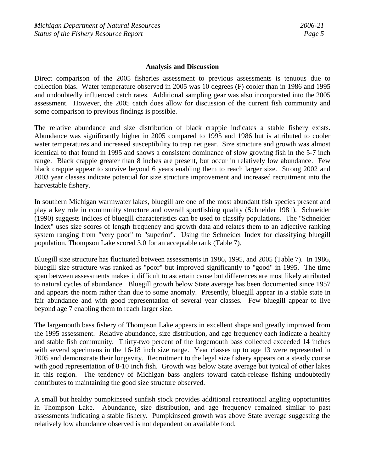#### **Analysis and Discussion**

Direct comparison of the 2005 fisheries assessment to previous assessments is tenuous due to collection bias. Water temperature observed in 2005 was 10 degrees (F) cooler than in 1986 and 1995 and undoubtedly influenced catch rates. Additional sampling gear was also incorporated into the 2005 assessment. However, the 2005 catch does allow for discussion of the current fish community and some comparison to previous findings is possible.

The relative abundance and size distribution of black crappie indicates a stable fishery exists. Abundance was significantly higher in 2005 compared to 1995 and 1986 but is attributed to cooler water temperatures and increased susceptibility to trap net gear. Size structure and growth was almost identical to that found in 1995 and shows a consistent dominance of slow growing fish in the 5-7 inch range. Black crappie greater than 8 inches are present, but occur in relatively low abundance. Few black crappie appear to survive beyond 6 years enabling them to reach larger size. Strong 2002 and 2003 year classes indicate potential for size structure improvement and increased recruitment into the harvestable fishery.

In southern Michigan warmwater lakes, bluegill are one of the most abundant fish species present and play a key role in community structure and overall sportfishing quality (Schneider 1981). Schneider (1990) suggests indices of bluegill characteristics can be used to classify populations. The "Schneider Index" uses size scores of length frequency and growth data and relates them to an adjective ranking system ranging from "very poor" to "superior". Using the Schneider Index for classifying bluegill population, Thompson Lake scored 3.0 for an acceptable rank (Table 7).

Bluegill size structure has fluctuated between assessments in 1986, 1995, and 2005 (Table 7). In 1986, bluegill size structure was ranked as "poor" but improved significantly to "good" in 1995. The time span between assessments makes it difficult to ascertain cause but differences are most likely attributed to natural cycles of abundance. Bluegill growth below State average has been documented since 1957 and appears the norm rather than due to some anomaly. Presently, bluegill appear in a stable state in fair abundance and with good representation of several year classes. Few bluegill appear to live beyond age 7 enabling them to reach larger size.

The largemouth bass fishery of Thompson Lake appears in excellent shape and greatly improved from the 1995 assessment. Relative abundance, size distribution, and age frequency each indicate a healthy and stable fish community. Thirty-two percent of the largemouth bass collected exceeded 14 inches with several specimens in the 16-18 inch size range. Year classes up to age 13 were represented in 2005 and demonstrate their longevity. Recruitment to the legal size fishery appears on a steady course with good representation of 8-10 inch fish. Growth was below State average but typical of other lakes in this region. The tendency of Michigan bass anglers toward catch-release fishing undoubtedly contributes to maintaining the good size structure observed.

A small but healthy pumpkinseed sunfish stock provides additional recreational angling opportunities in Thompson Lake. Abundance, size distribution, and age frequency remained similar to past assessments indicating a stable fishery. Pumpkinseed growth was above State average suggesting the relatively low abundance observed is not dependent on available food.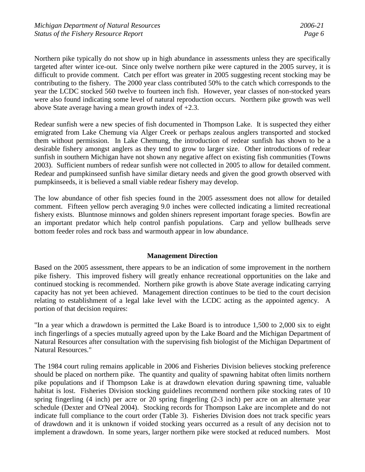Northern pike typically do not show up in high abundance in assessments unless they are specifically targeted after winter ice-out. Since only twelve northern pike were captured in the 2005 survey, it is difficult to provide comment. Catch per effort was greater in 2005 suggesting recent stocking may be contributing to the fishery. The 2000 year class contributed 50% to the catch which corresponds to the year the LCDC stocked 560 twelve to fourteen inch fish. However, year classes of non-stocked years were also found indicating some level of natural reproduction occurs. Northern pike growth was well above State average having a mean growth index of +2.3.

Redear sunfish were a new species of fish documented in Thompson Lake. It is suspected they either emigrated from Lake Chemung via Alger Creek or perhaps zealous anglers transported and stocked them without permission. In Lake Chemung, the introduction of redear sunfish has shown to be a desirable fishery amongst anglers as they tend to grow to larger size. Other introductions of redear sunfish in southern Michigan have not shown any negative affect on existing fish communities (Towns 2003). Sufficient numbers of redear sunfish were not collected in 2005 to allow for detailed comment. Redear and pumpkinseed sunfish have similar dietary needs and given the good growth observed with pumpkinseeds, it is believed a small viable redear fishery may develop.

The low abundance of other fish species found in the 2005 assessment does not allow for detailed comment. Fifteen yellow perch averaging 9.0 inches were collected indicating a limited recreational fishery exists. Bluntnose minnows and golden shiners represent important forage species. Bowfin are an important predator which help control panfish populations. Carp and yellow bullheads serve bottom feeder roles and rock bass and warmouth appear in low abundance.

### **Management Direction**

Based on the 2005 assessment, there appears to be an indication of some improvement in the northern pike fishery. This improved fishery will greatly enhance recreational opportunities on the lake and continued stocking is recommended. Northern pike growth is above State average indicating carrying capacity has not yet been achieved. Management direction continues to be tied to the court decision relating to establishment of a legal lake level with the LCDC acting as the appointed agency. A portion of that decision requires:

"In a year which a drawdown is permitted the Lake Board is to introduce 1,500 to 2,000 six to eight inch fingerlings of a species mutually agreed upon by the Lake Board and the Michigan Department of Natural Resources after consultation with the supervising fish biologist of the Michigan Department of Natural Resources."

The 1984 court ruling remains applicable in 2006 and Fisheries Division believes stocking preference should be placed on northern pike. The quantity and quality of spawning habitat often limits northern pike populations and if Thompson Lake is at drawdown elevation during spawning time, valuable habitat is lost. Fisheries Division stocking guidelines recommend northern pike stocking rates of 10 spring fingerling (4 inch) per acre or 20 spring fingerling (2-3 inch) per acre on an alternate year schedule (Dexter and O'Neal 2004). Stocking records for Thompson Lake are incomplete and do not indicate full compliance to the court order (Table 3). Fisheries Division does not track specific years of drawdown and it is unknown if voided stocking years occurred as a result of any decision not to implement a drawdown. In some years, larger northern pike were stocked at reduced numbers. Most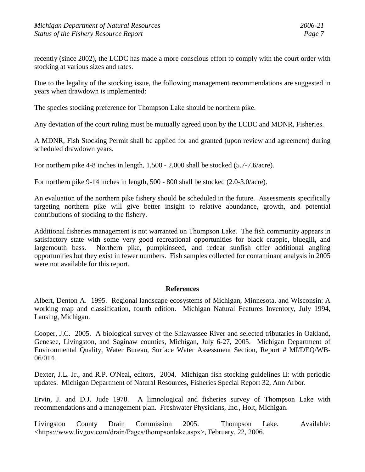recently (since 2002), the LCDC has made a more conscious effort to comply with the court order with stocking at various sizes and rates.

Due to the legality of the stocking issue, the following management recommendations are suggested in years when drawdown is implemented:

The species stocking preference for Thompson Lake should be northern pike.

Any deviation of the court ruling must be mutually agreed upon by the LCDC and MDNR, Fisheries.

A MDNR, Fish Stocking Permit shall be applied for and granted (upon review and agreement) during scheduled drawdown years.

For northern pike 4-8 inches in length, 1,500 - 2,000 shall be stocked (5.7-7.6/acre).

For northern pike 9-14 inches in length, 500 - 800 shall be stocked (2.0-3.0/acre).

An evaluation of the northern pike fishery should be scheduled in the future. Assessments specifically targeting northern pike will give better insight to relative abundance, growth, and potential contributions of stocking to the fishery.

Additional fisheries management is not warranted on Thompson Lake. The fish community appears in satisfactory state with some very good recreational opportunities for black crappie, bluegill, and largemouth bass. Northern pike, pumpkinseed, and redear sunfish offer additional angling opportunities but they exist in fewer numbers. Fish samples collected for contaminant analysis in 2005 were not available for this report.

### **References**

Albert, Denton A. 1995. Regional landscape ecosystems of Michigan, Minnesota, and Wisconsin: A working map and classification, fourth edition. Michigan Natural Features Inventory, July 1994, Lansing, Michigan.

Cooper, J.C. 2005. A biological survey of the Shiawassee River and selected tributaries in Oakland, Genesee, Livingston, and Saginaw counties, Michigan, July 6-27, 2005. Michigan Department of Environmental Quality, Water Bureau, Surface Water Assessment Section, Report # MI/DEQ/WB-06/014.

Dexter, J.L. Jr., and R.P. O'Neal, editors, 2004. Michigan fish stocking guidelines II: with periodic updates. Michigan Department of Natural Resources, Fisheries Special Report 32, Ann Arbor.

Ervin, J. and D.J. Jude 1978. A limnological and fisheries survey of Thompson Lake with recommendations and a management plan. Freshwater Physicians, Inc., Holt, Michigan.

Livingston County Drain Commission 2005. Thompson Lake. Available: <https://www.livgov.com/drain/Pages/thompsonlake.aspx>, February, 22, 2006.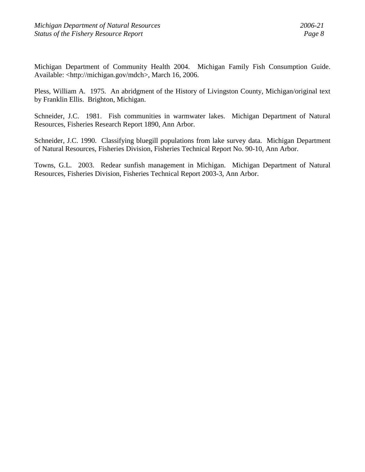Michigan Department of Community Health 2004. Michigan Family Fish Consumption Guide. Available: <http://michigan.gov/mdch>, March 16, 2006.

Pless, William A. 1975. An abridgment of the History of Livingston County, Michigan/original text by Franklin Ellis. Brighton, Michigan.

Schneider, J.C. 1981. Fish communities in warmwater lakes. Michigan Department of Natural Resources, Fisheries Research Report 1890, Ann Arbor.

Schneider, J.C. 1990. Classifying bluegill populations from lake survey data. Michigan Department of Natural Resources, Fisheries Division, Fisheries Technical Report No. 90-10, Ann Arbor.

Towns, G.L. 2003. Redear sunfish management in Michigan. Michigan Department of Natural Resources, Fisheries Division, Fisheries Technical Report 2003-3, Ann Arbor.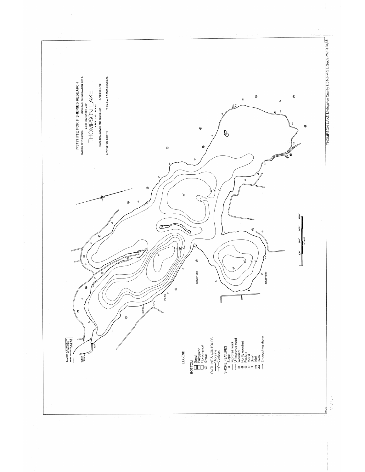

 $\frac{1}{2}$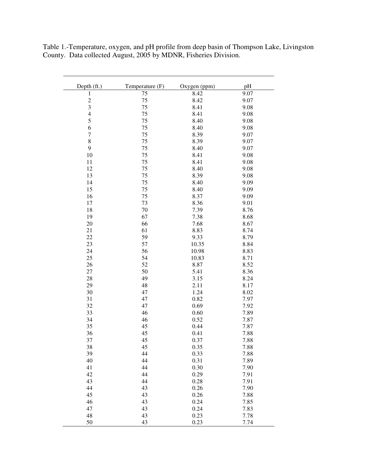Table 1.-Temperature, oxygen, and pH profile from deep basin of Thompson Lake, Livingston County. Data collected August, 2005 by MDNR, Fisheries Division.

| Depth (ft.)      | Temperature (F) | Oxygen (ppm) | pH   |
|------------------|-----------------|--------------|------|
| 1                | 75              | 8.42         | 9.07 |
|                  | 75              | 8.42         | 9.07 |
| $\frac{2}{3}$    | 75              | 8.41         | 9.08 |
| $\overline{4}$   | 75              | 8.41         | 9.08 |
| 5                | 75              | 8.40         | 9.08 |
| 6                | 75              | 8.40         | 9.08 |
| $\boldsymbol{7}$ | 75              | 8.39         | 9.07 |
| 8                | 75              | 8.39         | 9.07 |
| 9                | 75              | 8.40         | 9.07 |
| 10               | 75              | 8.41         | 9.08 |
| 11               | 75              | 8.41         | 9.08 |
| 12               | 75              | 8.40         | 9.08 |
| 13               | 75              | 8.39         | 9.08 |
| 14               | 75              | 8.40         | 9.09 |
| 15               | 75              | 8.40         | 9.09 |
| 16               | 75              | 8.37         | 9.09 |
| 17               | 73              | 8.36         | 9.01 |
| 18               | 70              | 7.39         | 8.76 |
| 19               | 67              | 7.38         | 8.68 |
| 20               | 66              | 7.68         | 8.67 |
| 21               | 61              | 8.83         | 8.74 |
| 22               | 59              | 9.33         | 8.79 |
| 23               | 57              | 10.35        | 8.84 |
| 24               | 56              | 10.98        | 8.83 |
| 25               | 54              | 10.83        | 8.71 |
| 26               | 52              | 8.87         | 8.52 |
| 27               | 50              | 5.41         | 8.36 |
| 28               | 49              | 3.15         | 8.24 |
| 29               | 48              | 2.11         | 8.17 |
| 30               | 47              | 1.24         | 8.02 |
| 31               | 47              | 0.82         | 7.97 |
| 32               | 47              | 0.69         | 7.92 |
| 33               | 46              | 0.60         | 7.89 |
| 34               | 46              | 0.52         | 7.87 |
| 35               | 45              | 0.44         | 7.87 |
| 36               | 45              | 0.41         | 7.88 |
| 37               | 45              | 0.37         | 7.88 |
| 38               | 45              | 0.35         | 7.88 |
| 39               | 44              | 0.33         | 7.88 |
| 40               | 44              | 0.31         | 7.89 |
| 41               | 44              | 0.30         | 7.90 |
| 42               | 44              | 0.29         | 7.91 |
| 43               | 44              | 0.28         | 7.91 |
| 44               | 43              | 0.26         | 7.90 |
| 45               | 43              | 0.26         | 7.88 |
| 46               | 43              | 0.24         | 7.85 |
| 47               | 43              | 0.24         | 7.83 |
| 48               | 43              | 0.23         | 7.78 |
| 50               | 43              | 0.23         | 7.74 |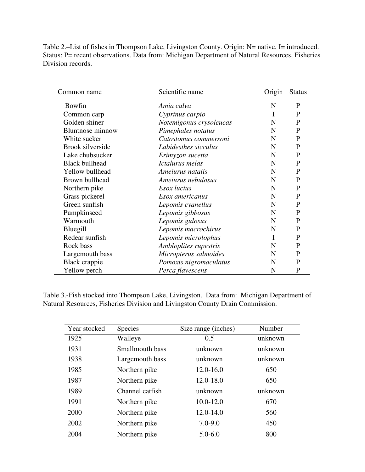| Table 2.—List of fishes in Thompson Lake, Livingston County. Origin: N= native, I= introduced. |
|------------------------------------------------------------------------------------------------|
| Status: P= recent observations. Data from: Michigan Department of Natural Resources, Fisheries |
| Division records.                                                                              |

| Common name             | Scientific name         | Origin      | <b>Status</b> |
|-------------------------|-------------------------|-------------|---------------|
| Bowfin                  | Amia calva              | $\mathbf N$ | P             |
| Common carp             | Cyprinus carpio         | I           | P             |
| Golden shiner           | Notemigonus crysoleucas | N           | P             |
| <b>Bluntnose</b> minnow | Pimephales notatus      | N           | P             |
| White sucker            | Catostomus commersoni   | N           | P             |
| <b>Brook silverside</b> | Labidesthes sicculus    | $\mathbf N$ | $\mathbf{P}$  |
| Lake chubsucker         | Erimyzon sucetta        | N           | P             |
| <b>Black bullhead</b>   | Ictalurus melas         | $\mathbf N$ | P             |
| Yellow bullhead         | Ameiurus natalis        | N           | P             |
| Brown bullhead          | Ameiurus nebulosus      | N           | P             |
| Northern pike           | Esox lucius             | N           | P             |
| Grass pickerel          | Esox americanus         | N           | P             |
| Green sunfish           | Lepomis cyanellus       | $\mathbf N$ | P             |
| Pumpkinseed             | Lepomis gibbosus        | N           | $\mathbf{P}$  |
| Warmouth                | Lepomis gulosus         | $\mathbf N$ | $\mathbf{P}$  |
| Bluegill                | Lepomis macrochirus     | N           | P             |
| Redear sunfish          | Lepomis microlophus     | I           | P             |
| Rock bass               | Ambloplites rupestris   | N           | $\mathbf{P}$  |
| Largemouth bass         | Micropterus salmoides   | N           | P             |
| Black crappie           | Pomoxis nigromaculatus  | N           | P             |
| Yellow perch            | Perca flavescens        | N           | P             |

Table 3.-Fish stocked into Thompson Lake, Livingston. Data from: Michigan Department of Natural Resources, Fisheries Division and Livingston County Drain Commission.

| Year stocked | <b>Species</b>  | Size range (inches) | Number  |
|--------------|-----------------|---------------------|---------|
| 1925         | Walleye         | 0.5                 | unknown |
| 1931         | Smallmouth bass | unknown             | unknown |
| 1938         | Largemouth bass | unknown             | unknown |
| 1985         | Northern pike   | $12.0 - 16.0$       | 650     |
| 1987         | Northern pike   | $12.0 - 18.0$       | 650     |
| 1989         | Channel catfish | unknown             | unknown |
| 1991         | Northern pike   | $10.0 - 12.0$       | 670     |
| 2000         | Northern pike   | $12.0 - 14.0$       | 560     |
| 2002         | Northern pike   | $7.0 - 9.0$         | 450     |
| 2004         | Northern pike   | $5.0 - 6.0$         | 800     |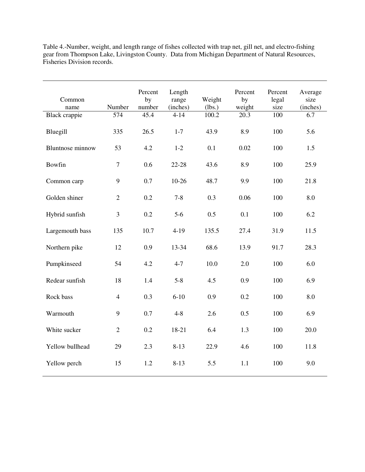| Common<br>name<br>Black crappie | Number<br>574  | Percent<br>by<br>number<br>45.4 | Length<br>range<br>(inches)<br>$4 - 14$ | Weight<br>(lbs.)<br>100.2 | Percent<br>by<br>weight<br>20.3 | Percent<br>legal<br>size<br>100 | Average<br>size<br>(inches)<br>6.7 |
|---------------------------------|----------------|---------------------------------|-----------------------------------------|---------------------------|---------------------------------|---------------------------------|------------------------------------|
| Bluegill                        | 335            | 26.5                            | $1 - 7$                                 | 43.9                      | 8.9                             | 100                             | 5.6                                |
| <b>Bluntnose</b> minnow         | 53             | 4.2                             | $1-2$                                   | 0.1                       | 0.02                            | 100                             | 1.5                                |
| Bowfin                          | $\overline{7}$ | 0.6                             | 22-28                                   | 43.6                      | 8.9                             | 100                             | 25.9                               |
| Common carp                     | 9              | 0.7                             | $10-26$                                 | 48.7                      | 9.9                             | 100                             | 21.8                               |
| Golden shiner                   | $\overline{2}$ | 0.2                             | $7 - 8$                                 | 0.3                       | 0.06                            | 100                             | 8.0                                |
| Hybrid sunfish                  | 3              | 0.2                             | $5-6$                                   | 0.5                       | 0.1                             | 100                             | 6.2                                |
| Largemouth bass                 | 135            | 10.7                            | $4-19$                                  | 135.5                     | 27.4                            | 31.9                            | 11.5                               |
| Northern pike                   | 12             | 0.9                             | 13-34                                   | 68.6                      | 13.9                            | 91.7                            | 28.3                               |
| Pumpkinseed                     | 54             | 4.2                             | $4 - 7$                                 | 10.0                      | 2.0                             | 100                             | 6.0                                |
| Redear sunfish                  | 18             | 1.4                             | $5 - 8$                                 | 4.5                       | 0.9                             | 100                             | 6.9                                |
| Rock bass                       | $\overline{4}$ | 0.3                             | $6 - 10$                                | 0.9                       | 0.2                             | 100                             | 8.0                                |
| Warmouth                        | 9              | 0.7                             | $4 - 8$                                 | 2.6                       | 0.5                             | 100                             | 6.9                                |
| White sucker                    | $\overline{2}$ | 0.2                             | 18-21                                   | 6.4                       | 1.3                             | 100                             | 20.0                               |
| Yellow bullhead                 | 29             | 2.3                             | $8 - 13$                                | 22.9                      | 4.6                             | 100                             | 11.8                               |
| Yellow perch                    | 15             | 1.2                             | $8 - 13$                                | 5.5                       | 1.1                             | 100                             | 9.0                                |

Table 4.-Number, weight, and length range of fishes collected with trap net, gill net, and electro-fishing gear from Thompson Lake, Livingston County. Data from Michigan Department of Natural Resources, Fisheries Division records.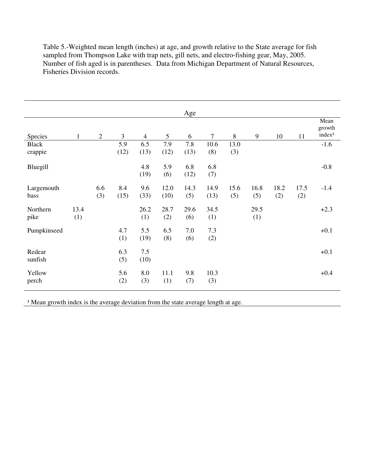Table 5.-Weighted mean length (inches) at age, and growth relative to the State average for fish sampled from Thompson Lake with trap nets, gill nets, and electro-fishing gear, May, 2005. Number of fish aged is in parentheses. Data from Michigan Department of Natural Resources, Fisheries Division records.

|                         |              |                |             |                |              | Age         |              |             |             |             |             |                                      |
|-------------------------|--------------|----------------|-------------|----------------|--------------|-------------|--------------|-------------|-------------|-------------|-------------|--------------------------------------|
| Species                 | $\mathbf{1}$ | $\overline{2}$ | 3           | $\overline{4}$ | 5            | 6           | $\tau$       | 8           | 9           | 10          | 11          | Mean<br>growth<br>index <sup>1</sup> |
| <b>Black</b><br>crappie |              |                | 5.9<br>(12) | 6.5<br>(13)    | 7.9<br>(12)  | 7.8<br>(13) | 10.6<br>(8)  | 13.0<br>(3) |             |             |             | $-1.6$                               |
| Bluegill                |              |                |             | 4.8<br>(19)    | 5.9<br>(6)   | 6.8<br>(12) | 6.8<br>(7)   |             |             |             |             | $-0.8$                               |
| Largemouth<br>bass      |              | 6.6<br>(3)     | 8.4<br>(15) | 9.6<br>(33)    | 12.0<br>(10) | 14.3<br>(5) | 14.9<br>(13) | 15.6<br>(5) | 16.8<br>(5) | 18.2<br>(2) | 17.5<br>(2) | $-1.4$                               |
| Northern<br>pike        | 13.4<br>(1)  |                |             | 26.2<br>(1)    | 28.7<br>(2)  | 29.6<br>(6) | 34.5<br>(1)  |             | 29.5<br>(1) |             |             | $+2.3$                               |
| Pumpkinseed             |              |                | 4.7<br>(1)  | 5.5<br>(19)    | 6.5<br>(8)   | 7.0<br>(6)  | 7.3<br>(2)   |             |             |             |             | $+0.1$                               |
| Redear<br>sunfish       |              |                | 6.3<br>(5)  | 7.5<br>(10)    |              |             |              |             |             |             |             | $+0.1$                               |
| Yellow<br>perch         |              |                | 5.6<br>(2)  | 8.0<br>(3)     | 11.1<br>(1)  | 9.8<br>(7)  | 10.3<br>(3)  |             |             |             |             | $+0.4$                               |

<sup>1</sup> Mean growth index is the average deviation from the state average length at age.